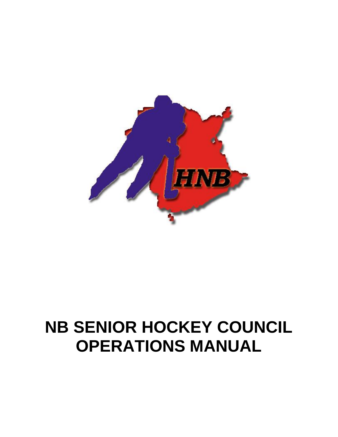

# **NB SENIOR HOCKEY COUNCIL OPERATIONS MANUAL**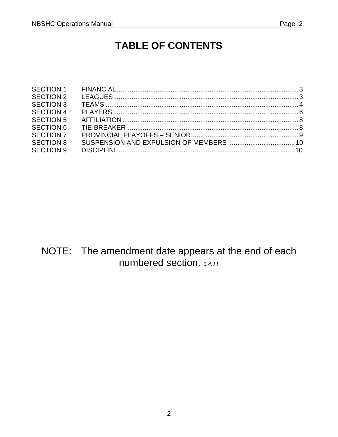### **TABLE OF CONTENTS**

| <b>SECTION 2</b> |  |
|------------------|--|
| <b>SECTION 3</b> |  |
| <b>SECTION 4</b> |  |
| <b>SECTION 5</b> |  |
| <b>SECTION 6</b> |  |
| <b>SECTION 7</b> |  |
| <b>SECTION 8</b> |  |
| <b>SECTION 9</b> |  |
|                  |  |

NOTE: The amendment date appears at the end of each numbered section.  $6.4.11$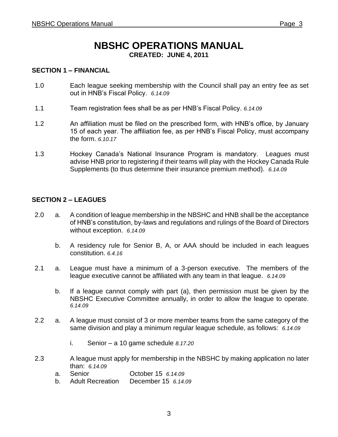## **NBSHC OPERATIONS MANUAL**

**CREATED: JUNE 4, 2011**

#### **SECTION 1 – FINANCIAL**

- 1.0 Each league seeking membership with the Council shall pay an entry fee as set out in HNB's Fiscal Policy. *6.14.09*
- 1.1 Team registration fees shall be as per HNB's Fiscal Policy. *6.14.09*
- 1.2 An affiliation must be filed on the prescribed form, with HNB's office, by January 15 of each year. The affiliation fee, as per HNB's Fiscal Policy, must accompany the form. *6.10.17*
- 1.3 Hockey Canada's National Insurance Program is mandatory. Leagues must advise HNB prior to registering if their teams will play with the Hockey Canada Rule Supplements (to thus determine their insurance premium method). *6.14.09*

#### **SECTION 2 – LEAGUES**

- 2.0 a. A condition of league membership in the NBSHC and HNB shall be the acceptance of HNB's constitution, by-laws and regulations and rulings of the Board of Directors without exception. *6.14.09*
	- b. A residency rule for Senior B, A, or AAA should be included in each leagues constitution. *6.4.16*
- 2.1 a. League must have a minimum of a 3-person executive. The members of the league executive cannot be affiliated with any team in that league. *6.14.09*
	- b. If a league cannot comply with part (a), then permission must be given by the NBSHC Executive Committee annually, in order to allow the league to operate. *6.14.09*
- 2.2 a. A league must consist of 3 or more member teams from the same category of the same division and play a minimum regular league schedule, as follows: *6.14.09*
	- i. Senior a 10 game schedule *8.17.20*
- 2.3 A league must apply for membership in the NBSHC by making application no later than: *6.14.09*
	- a. Senior October 15 *6.14.09*
	- b. Adult Recreation December 15 *6.14.09*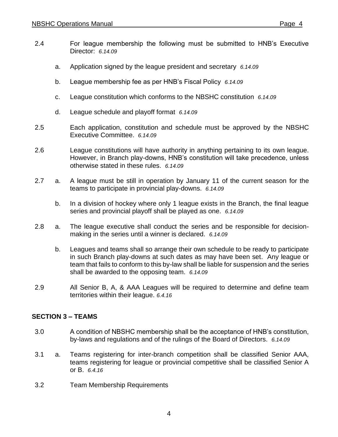- 2.4 For league membership the following must be submitted to HNB's Executive Director: *6.14.09*
	- a. Application signed by the league president and secretary *6.14.09*
	- b. League membership fee as per HNB's Fiscal Policy *6.14.09*
	- c. League constitution which conforms to the NBSHC constitution *6.14.09*
	- d. League schedule and playoff format *6.14.09*
- 2.5 Each application, constitution and schedule must be approved by the NBSHC Executive Committee. *6.14.09*
- 2.6 League constitutions will have authority in anything pertaining to its own league. However, in Branch play-downs, HNB's constitution will take precedence, unless otherwise stated in these rules. *6.14.09*
- 2.7 a. A league must be still in operation by January 11 of the current season for the teams to participate in provincial play-downs. *6.14.09*
	- b. In a division of hockey where only 1 league exists in the Branch, the final league series and provincial playoff shall be played as one. *6.14.09*
- 2.8 a. The league executive shall conduct the series and be responsible for decisionmaking in the series until a winner is declared. *6.14.09*
	- b. Leagues and teams shall so arrange their own schedule to be ready to participate in such Branch play-downs at such dates as may have been set. Any league or team that fails to conform to this by-law shall be liable for suspension and the series shall be awarded to the opposing team. *6.14.09*
- 2.9 All Senior B, A, & AAA Leagues will be required to determine and define team territories within their league. *6.4.16*

#### **SECTION 3 – TEAMS**

- 3.0 A condition of NBSHC membership shall be the acceptance of HNB's constitution, by-laws and regulations and of the rulings of the Board of Directors. *6.14.09*
- 3.1 a. Teams registering for inter-branch competition shall be classified Senior AAA, teams registering for league or provincial competitive shall be classified Senior A or B. *6.4.16*
- 3.2 Team Membership Requirements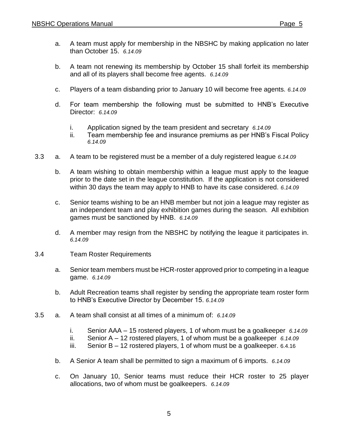- a. A team must apply for membership in the NBSHC by making application no later than October 15. *6.14.09*
- b. A team not renewing its membership by October 15 shall forfeit its membership and all of its players shall become free agents. *6.14.09*
- c. Players of a team disbanding prior to January 10 will become free agents. *6.14.09*
- d. For team membership the following must be submitted to HNB's Executive Director: *6.14.09*
	- i. Application signed by the team president and secretary *6.14.09*
	- ii. Team membership fee and insurance premiums as per HNB's Fiscal Policy *6.14.09*
- 3.3 a. A team to be registered must be a member of a duly registered league *6.14.09*
	- b. A team wishing to obtain membership within a league must apply to the league prior to the date set in the league constitution. If the application is not considered within 30 days the team may apply to HNB to have its case considered. *6.14.09*
	- c. Senior teams wishing to be an HNB member but not join a league may register as an independent team and play exhibition games during the season. All exhibition games must be sanctioned by HNB. *6.14.09*
	- d. A member may resign from the NBSHC by notifying the league it participates in. *6.14.09*
- 3.4 Team Roster Requirements
	- a. Senior team members must be HCR-roster approved prior to competing in a league game. *6.14.09*
	- b. Adult Recreation teams shall register by sending the appropriate team roster form to HNB's Executive Director by December 15. *6.14.09*
- 3.5 a. A team shall consist at all times of a minimum of: *6.14.09*
	- i. Senior AAA 15 rostered players, 1 of whom must be a goalkeeper *6.14.09*
	- ii. Senior A – 12 rostered players, 1 of whom must be a goalkeeper *6.14.09*
	- iii. Senior B – 12 rostered players, 1 of whom must be a goalkeeper. 6.4.16
	- b. A Senior A team shall be permitted to sign a maximum of 6 imports. *6.14.09*
	- c. On January 10, Senior teams must reduce their HCR roster to 25 player allocations, two of whom must be goalkeepers. *6.14.09*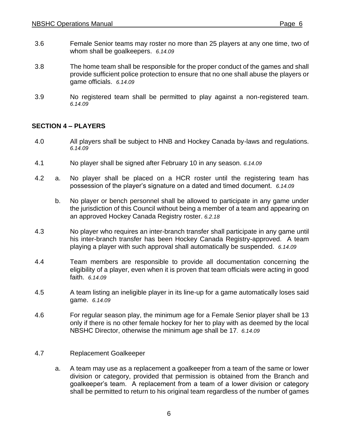- 3.6 Female Senior teams may roster no more than 25 players at any one time, two of whom shall be goalkeepers. *6.14.09*
- 3.8 The home team shall be responsible for the proper conduct of the games and shall provide sufficient police protection to ensure that no one shall abuse the players or game officials. *6.14.09*
- 3.9 No registered team shall be permitted to play against a non-registered team. *6.14.09*

#### **SECTION 4 – PLAYERS**

- 4.0 All players shall be subject to HNB and Hockey Canada by-laws and regulations. *6.14.09*
- 4.1 No player shall be signed after February 10 in any season. *6.14.09*
- 4.2 a. No player shall be placed on a HCR roster until the registering team has possession of the player's signature on a dated and timed document. *6.14.09*
	- b. No player or bench personnel shall be allowed to participate in any game under the jurisdiction of this Council without being a member of a team and appearing on an approved Hockey Canada Registry roster. *6.2.18*
- 4.3 No player who requires an inter-branch transfer shall participate in any game until his inter-branch transfer has been Hockey Canada Registry-approved. A team playing a player with such approval shall automatically be suspended. *6.14.09*
- 4.4 Team members are responsible to provide all documentation concerning the eligibility of a player, even when it is proven that team officials were acting in good faith. *6.14.09*
- 4.5 A team listing an ineligible player in its line-up for a game automatically loses said game. *6.14.09*
- 4.6 For regular season play, the minimum age for a Female Senior player shall be 13 only if there is no other female hockey for her to play with as deemed by the local NBSHC Director, otherwise the minimum age shall be 17*. 6.14.09*
- 4.7 Replacement Goalkeeper
	- a. A team may use as a replacement a goalkeeper from a team of the same or lower division or category, provided that permission is obtained from the Branch and goalkeeper's team. A replacement from a team of a lower division or category shall be permitted to return to his original team regardless of the number of games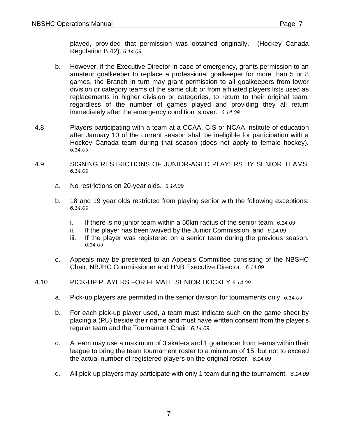played, provided that permission was obtained originally. (Hockey Canada Regulation B.42). *6.14.09*

- b. However, if the Executive Director in case of emergency, grants permission to an amateur goalkeeper to replace a professional goalkeeper for more than 5 or 8 games, the Branch in turn may grant permission to all goalkeepers from lower division or category teams of the same club or from affiliated players lists used as replacements in higher division or categories, to return to their original team, regardless of the number of games played and providing they all return immediately after the emergency condition is over. *6.14.09*
- 4.8 Players participating with a team at a CCAA, CIS or NCAA institute of education after January 10 of the current season shall be ineligible for participation with a Hockey Canada team during that season (does not apply to female hockey). *6.14.09*
- 4.9 SIGNING RESTRICTIONS OF JUNIOR-AGED PLAYERS BY SENIOR TEAMS: *6.14.09*
	- a. No restrictions on 20-year olds. *6.14.09*
	- b. 18 and 19 year olds restricted from playing senior with the following exceptions: *6.14.09*
		- i. If there is no junior team within a 50km radius of the senior team, *6.14.09*
		- ii. If the player has been waived by the Junior Commission, and *6.14.09*
		- iii. If the player was registered on a senior team during the previous season. *6.14.09*
	- c. Appeals may be presented to an Appeals Committee consisting of the NBSHC Chair, NBJHC Commissioner and HNB Executive Director. *6.14.09*

#### 4.10 PICK-UP PLAYERS FOR FEMALE SENIOR HOCKEY *6.14.09*

- a. Pick-up players are permitted in the senior division for tournaments only. *6.14.09*
- b. For each pick-up player used, a team must indicate such on the game sheet by placing a (PU) beside their name and must have written consent from the player's regular team and the Tournament Chair*. 6.14.09*
- c. A team may use a maximum of 3 skaters and 1 goaltender from teams within their league to bring the team tournament roster to a minimum of 15, but not to exceed the actual number of registered players on the original roster. *6.14.09*
- d. All pick-up players may participate with only 1 team during the tournament. *6.14.09*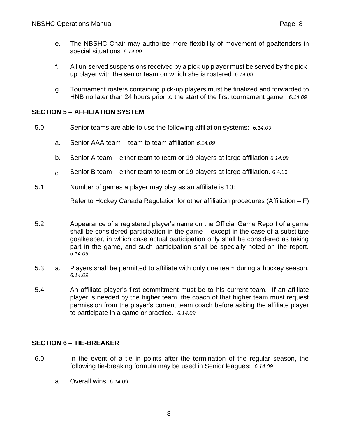- e. The NBSHC Chair may authorize more flexibility of movement of goaltenders in special situations*. 6.14.09*
- f. All un-served suspensions received by a pick-up player must be served by the pickup player with the senior team on which she is rostered*. 6.14.09*
- g. Tournament rosters containing pick-up players must be finalized and forwarded to HNB no later than 24 hours prior to the start of the first tournament game. *6.14.09*

#### **SECTION 5 – AFFILIATION SYSTEM**

- 5.0 Senior teams are able to use the following affiliation systems: *6.14.09*
	- a. Senior AAA team team to team affiliation *6.14.09*
	- b. Senior A team – either team to team or 19 players at large affiliation *6.14.09*
	- c. Senior B team – either team to team or 19 players at large affiliation. 6.4.16
- 5.1 Number of games a player may play as an affiliate is 10:

Refer to Hockey Canada Regulation for other affiliation procedures (Affiliation – F)

- 5.2 Appearance of a registered player's name on the Official Game Report of a game shall be considered participation in the game – except in the case of a substitute goalkeeper, in which case actual participation only shall be considered as taking part in the game, and such participation shall be specially noted on the report. *6.14.09*
- 5.3 a. Players shall be permitted to affiliate with only one team during a hockey season. *6.14.09*
- 5.4 An affiliate player's first commitment must be to his current team. If an affiliate player is needed by the higher team, the coach of that higher team must request permission from the player's current team coach before asking the affiliate player to participate in a game or practice. *6.14.09*

#### **SECTION 6 – TIE-BREAKER**

- 6.0 In the event of a tie in points after the termination of the regular season, the following tie-breaking formula may be used in Senior leagues: *6.14.09*
	- a. Overall wins *6.14.09*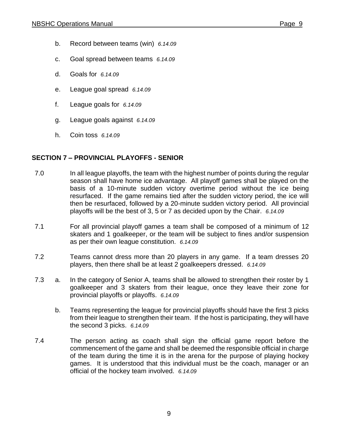- b. Record between teams (win) *6.14.09*
- c. Goal spread between teams *6.14.09*
- d. Goals for *6.14.09*
- e. League goal spread *6.14.09*
- f. League goals for *6.14.09*
- g. League goals against *6.14.09*
- h. Coin toss *6.14.09*

#### **SECTION 7 – PROVINCIAL PLAYOFFS - SENIOR**

- 7.0 In all league playoffs, the team with the highest number of points during the regular season shall have home ice advantage. All playoff games shall be played on the basis of a 10-minute sudden victory overtime period without the ice being resurfaced. If the game remains tied after the sudden victory period, the ice will then be resurfaced, followed by a 20-minute sudden victory period. All provincial playoffs will be the best of 3, 5 or 7 as decided upon by the Chair. *6.14.09*
- 7.1 For all provincial playoff games a team shall be composed of a minimum of 12 skaters and 1 goalkeeper, or the team will be subject to fines and/or suspension as per their own league constitution. *6.14.09*
- 7.2 Teams cannot dress more than 20 players in any game. If a team dresses 20 players, then there shall be at least 2 goalkeepers dressed. *6.14.09*
- 7.3 a. In the category of Senior A, teams shall be allowed to strengthen their roster by 1 goalkeeper and 3 skaters from their league, once they leave their zone for provincial playoffs or playoffs. *6.14.09*
	- b. Teams representing the league for provincial playoffs should have the first 3 picks from their league to strengthen their team. If the host is participating, they will have the second 3 picks. *6.14.09*
- 7.4 The person acting as coach shall sign the official game report before the commencement of the game and shall be deemed the responsible official in charge of the team during the time it is in the arena for the purpose of playing hockey games. It is understood that this individual must be the coach, manager or an official of the hockey team involved. *6.14.09*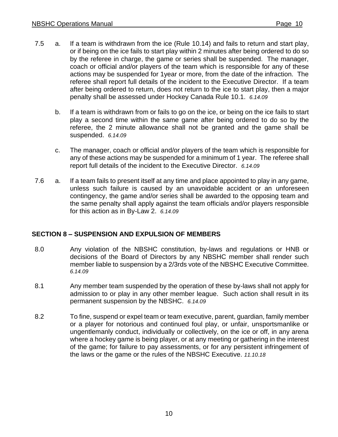- 7.5 a. If a team is withdrawn from the ice (Rule 10.14) and fails to return and start play, or if being on the ice fails to start play within 2 minutes after being ordered to do so by the referee in charge, the game or series shall be suspended. The manager, coach or official and/or players of the team which is responsible for any of these actions may be suspended for 1year or more, from the date of the infraction. The referee shall report full details of the incident to the Executive Director. If a team after being ordered to return, does not return to the ice to start play, then a major penalty shall be assessed under Hockey Canada Rule 10.1. *6.14.09*
	- b. If a team is withdrawn from or fails to go on the ice, or being on the ice fails to start play a second time within the same game after being ordered to do so by the referee, the 2 minute allowance shall not be granted and the game shall be suspended. *6.14.09*
	- c. The manager, coach or official and/or players of the team which is responsible for any of these actions may be suspended for a minimum of 1 year. The referee shall report full details of the incident to the Executive Director. *6.14.09*
- 7.6 a. If a team fails to present itself at any time and place appointed to play in any game, unless such failure is caused by an unavoidable accident or an unforeseen contingency, the game and/or series shall be awarded to the opposing team and the same penalty shall apply against the team officials and/or players responsible for this action as in By-Law 2. *6.14.09*

#### **SECTION 8 – SUSPENSION AND EXPULSION OF MEMBERS**

- 8.0 Any violation of the NBSHC constitution, by-laws and regulations or HNB or decisions of the Board of Directors by any NBSHC member shall render such member liable to suspension by a 2/3rds vote of the NBSHC Executive Committee. *6.14.09*
- 8.1 Any member team suspended by the operation of these by-laws shall not apply for admission to or play in any other member league. Such action shall result in its permanent suspension by the NBSHC. *6.14.09*
- 8.2 To fine, suspend or expel team or team executive, parent, guardian, family member or a player for notorious and continued foul play, or unfair, unsportsmanlike or ungentlemanly conduct, individually or collectively, on the ice or off, in any arena where a hockey game is being player, or at any meeting or gathering in the interest of the game; for failure to pay assessments, or for any persistent infringement of the laws or the game or the rules of the NBSHC Executive. *11.10.18*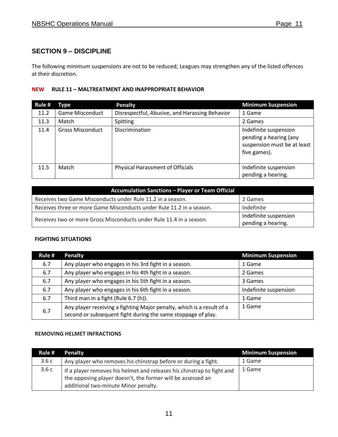#### **SECTION 9 – DISCIPLINE**

The following minimum suspensions are not to be reduced; Leagues may strengthen any of the listed offences at their discretion.

#### **NEW RULE 11 – MALTREATMENT AND INAPPROPRIATE BEHAVIOR**

| Rule # | <b>Type</b>             | <b>Penalty</b>                                 | <b>Minimum Suspension</b>                                                                      |
|--------|-------------------------|------------------------------------------------|------------------------------------------------------------------------------------------------|
| 11.2   | <b>Game Misconduct</b>  | Disrespectful, Abusive, and Harassing Behavior | 1 Game                                                                                         |
| 11.3   | Match                   | Spitting                                       | 2 Games                                                                                        |
| 11.4   | <b>Gross Misconduct</b> | <b>Discrimination</b>                          | Indefinite suspension<br>pending a hearing (any<br>suspension must be at least<br>five games). |
| 11.5   | Match                   | <b>Physical Harassment of Officials</b>        | Indefinite suspension<br>pending a hearing.                                                    |

| <b>Accumulation Sanctions - Player or Team Official</b>              |                                             |  |
|----------------------------------------------------------------------|---------------------------------------------|--|
| Receives two Game Misconducts under Rule 11.2 in a season.           | 2 Games                                     |  |
| Receives three or more Game Misconducts under Rule 11.2 in a season. | Indefinite                                  |  |
| Receives two or more Gross Misconducts under Rule 11.4 in a season.  | Indefinite suspension<br>pending a hearing. |  |

#### **FIGHTING SITUATIONS**

| Rule # | <b>Penalty</b>                                                                                                                        | <b>Minimum Suspension</b> |
|--------|---------------------------------------------------------------------------------------------------------------------------------------|---------------------------|
| 6.7    | Any player who engages in his 3rd fight in a season.                                                                                  | 1 Game                    |
| 6.7    | Any player who engages in his 4th fight in a season.                                                                                  | 2 Games                   |
| 6.7    | Any player who engages in his 5th fight in a season.                                                                                  | 3 Games                   |
| 6.7    | Any player who engages in his 6th fight in a season.                                                                                  | Indefinite suspension     |
| 6.7    | Third man in a fight (Rule 6.7 (h)).                                                                                                  | 1 Game                    |
| 6.7    | Any player receiving a fighting Major penalty, which is a result of a<br>second or subsequent fight during the same stoppage of play. | 1 Game                    |

#### **REMOVING HELMET INFRACTIONS**

| Rule # | <b>Penalty</b>                                                                                                                                                                | <b>Minimum Suspension</b> |
|--------|-------------------------------------------------------------------------------------------------------------------------------------------------------------------------------|---------------------------|
| 3.6c   | Any player who removes his chinstrap before or during a fight.                                                                                                                | 1 Game                    |
| 3.6c   | If a player removes his helmet and releases his chinstrap to fight and<br>the opposing player doesn't, the former will be assessed an<br>additional two-minute Minor penalty. | 1 Game                    |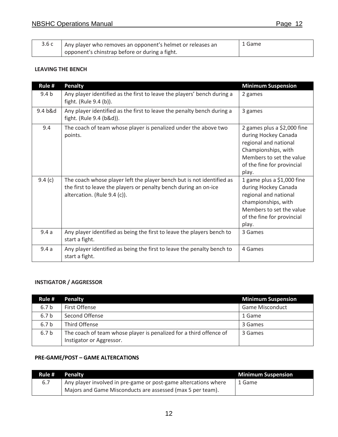| 3.6c | Any player who removes an opponent's helmet or releases an | 1 Game |
|------|------------------------------------------------------------|--------|
|      | opponent's chinstrap before or during a fight.             |        |

#### **LEAVING THE BENCH**

| Rule #           | <b>Penalty</b>                                                                                                                                                            | <b>Minimum Suspension</b>                                                                                                                                              |
|------------------|---------------------------------------------------------------------------------------------------------------------------------------------------------------------------|------------------------------------------------------------------------------------------------------------------------------------------------------------------------|
| 9.4 <sub>b</sub> | Any player identified as the first to leave the players' bench during a<br>fight. (Rule 9.4 (b)).                                                                         | 2 games                                                                                                                                                                |
| 9.4 b&d          | Any player identified as the first to leave the penalty bench during a<br>fight. (Rule 9.4 (b&d)).                                                                        | 3 games                                                                                                                                                                |
| 9.4              | The coach of team whose player is penalized under the above two<br>points.                                                                                                | 2 games plus a \$2,000 fine<br>during Hockey Canada<br>regional and national<br>Championships, with<br>Members to set the value<br>of the fine for provincial<br>play. |
| 9.4 $(c)$        | The coach whose player left the player bench but is not identified as<br>the first to leave the players or penalty bench during an on-ice<br>altercation. (Rule 9.4 (c)). | 1 game plus a $$1,000$ fine<br>during Hockey Canada<br>regional and national<br>championships, with<br>Members to set the value<br>of the fine for provincial<br>play. |
| 9.4a             | Any player identified as being the first to leave the players bench to<br>start a fight.                                                                                  | 3 Games                                                                                                                                                                |
| 9.4a             | Any player identified as being the first to leave the penalty bench to<br>start a fight.                                                                                  | 4 Games                                                                                                                                                                |

#### **INSTIGATOR / AGGRESSOR**

| Rule #           | <b>Penalty</b>                                                                                 | <b>Minimum Suspension</b> |
|------------------|------------------------------------------------------------------------------------------------|---------------------------|
| 6.7 <sub>b</sub> | First Offense                                                                                  | <b>Game Misconduct</b>    |
| 6.7 <sub>b</sub> | Second Offense                                                                                 | 1 Game                    |
| 6.7 <sub>b</sub> | Third Offense                                                                                  | 3 Games                   |
| 6.7 <sub>b</sub> | The coach of team whose player is penalized for a third offence of<br>Instigator or Aggressor. | 3 Games                   |

#### **PRE-GAME/POST – GAME ALTERCATIONS**

|     | Rule # Penalty                                                  | <b>Minimum Suspension</b> |
|-----|-----------------------------------------------------------------|---------------------------|
| 6.7 | Any player involved in pre-game or post-game altercations where | 1 Game                    |
|     | Majors and Game Misconducts are assessed (max 5 per team).      |                           |